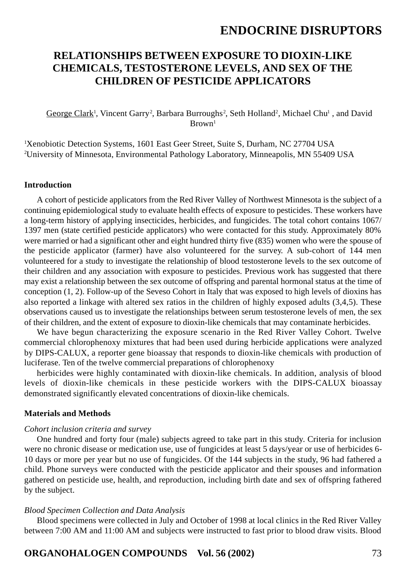## **RELATIONSHIPS BETWEEN EXPOSURE TO DIOXIN-LIKE CHEMICALS, TESTOSTERONE LEVELS, AND SEX OF THE CHILDREN OF PESTICIDE APPLICATORS**

George Clark<sup>1</sup>, Vincent Garry<sup>2</sup>, Barbara Burroughs<sup>2</sup>, Seth Holland<sup>2</sup>, Michael Chu<sup>1</sup>, and David Brown1

1 Xenobiotic Detection Systems, 1601 East Geer Street, Suite S, Durham, NC 27704 USA 2 University of Minnesota, Environmental Pathology Laboratory, Minneapolis, MN 55409 USA

#### **Introduction**

A cohort of pesticide applicators from the Red River Valley of Northwest Minnesota is the subject of a continuing epidemiological study to evaluate health effects of exposure to pesticides. These workers have a long-term history of applying insecticides, herbicides, and fungicides. The total cohort contains 1067/ 1397 men (state certified pesticide applicators) who were contacted for this study. Approximately 80% were married or had a significant other and eight hundred thirty five (835) women who were the spouse of the pesticide applicator (farmer) have also volunteered for the survey. A sub-cohort of 144 men volunteered for a study to investigate the relationship of blood testosterone levels to the sex outcome of their children and any association with exposure to pesticides. Previous work has suggested that there may exist a relationship between the sex outcome of offspring and parental hormonal status at the time of conception (1, 2). Follow-up of the Seveso Cohort in Italy that was exposed to high levels of dioxins has also reported a linkage with altered sex ratios in the children of highly exposed adults (3,4,5). These observations caused us to investigate the relationships between serum testosterone levels of men, the sex of their children, and the extent of exposure to dioxin-like chemicals that may contaminate herbicides.

We have begun characterizing the exposure scenario in the Red River Valley Cohort. Twelve commercial chlorophenoxy mixtures that had been used during herbicide applications were analyzed by DIPS-CALUX, a reporter gene bioassay that responds to dioxin-like chemicals with production of luciferase. Ten of the twelve commercial preparations of chlorophenoxy

herbicides were highly contaminated with dioxin-like chemicals. In addition, analysis of blood levels of dioxin-like chemicals in these pesticide workers with the DIPS-CALUX bioassay demonstrated significantly elevated concentrations of dioxin-like chemicals.

#### **Materials and Methods**

#### *Cohort inclusion criteria and survey*

One hundred and forty four (male) subjects agreed to take part in this study. Criteria for inclusion were no chronic disease or medication use, use of fungicides at least 5 days/year or use of herbicides 6- 10 days or more per year but no use of fungicides. Of the 144 subjects in the study, 96 had fathered a child. Phone surveys were conducted with the pesticide applicator and their spouses and information gathered on pesticide use, health, and reproduction, including birth date and sex of offspring fathered by the subject.

#### *Blood Specimen Collection and Data Analysis*

Blood specimens were collected in July and October of 1998 at local clinics in the Red River Valley between 7:00 AM and 11:00 AM and subjects were instructed to fast prior to blood draw visits. Blood

#### **ORGANOHALOGEN COMPOUNDS Vol. 56 (2002)** 73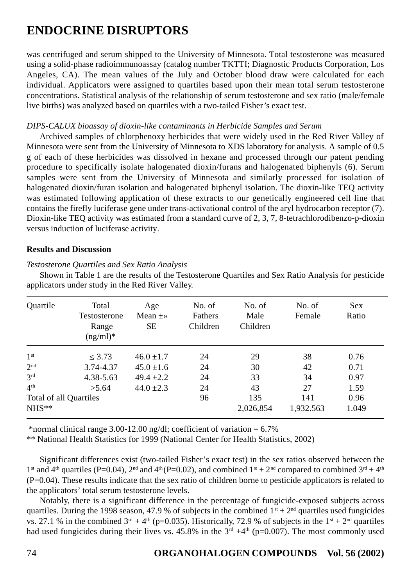was centrifuged and serum shipped to the University of Minnesota. Total testosterone was measured using a solid-phase radioimmunoassay (catalog number TKTTI; Diagnostic Products Corporation, Los Angeles, CA). The mean values of the July and October blood draw were calculated for each individual. Applicators were assigned to quartiles based upon their mean total serum testosterone concentrations. Statistical analysis of the relationship of serum testosterone and sex ratio (male/female live births) was analyzed based on quartiles with a two-tailed Fisher's exact test.

#### *DIPS-CALUX bioassay of dioxin-like contaminants in Herbicide Samples and Serum*

Archived samples of chlorphenoxy herbicides that were widely used in the Red River Valley of Minnesota were sent from the University of Minnesota to XDS laboratory for analysis. A sample of 0.5 g of each of these herbicides was dissolved in hexane and processed through our patent pending procedure to specifically isolate halogenated dioxin/furans and halogenated biphenyls (6). Serum samples were sent from the University of Minnesota and similarly processed for isolation of halogenated dioxin/furan isolation and halogenated biphenyl isolation. The dioxin-like TEQ activity was estimated following application of these extracts to our genetically engineered cell line that contains the firefly luciferase gene under trans-activational control of the aryl hydrocarbon receptor (7). Dioxin-like TEQ activity was estimated from a standard curve of 2, 3, 7, 8-tetrachlorodibenzo-p-dioxin versus induction of luciferase activity.

#### **Results and Discussion**

#### *Testosterone Quartiles and Sex Ratio Analysis*

Shown in Table 1 are the results of the Testosterone Quartiles and Sex Ratio Analysis for pesticide applicators under study in the Red River Valley.

| Ouartile               | Total<br><b>Testosterone</b><br>Range<br>$(ng/ml)^*$ | Age<br>Mean $\pm$ »<br><b>SE</b> | No. of<br><b>Fathers</b><br>Children | No. of<br>Male<br>Children | No. of<br>Female | <b>Sex</b><br>Ratio |
|------------------------|------------------------------------------------------|----------------------------------|--------------------------------------|----------------------------|------------------|---------------------|
| 1 <sup>st</sup>        | $<$ 3.73                                             | $46.0 \pm 1.7$                   | 24                                   | 29                         | 38               | 0.76                |
| 2 <sup>nd</sup>        | 3.74-4.37                                            | $45.0 \pm 1.6$                   | 24                                   | 30                         | 42               | 0.71                |
| 3 <sup>rd</sup>        | 4.38-5.63                                            | $49.4 \pm 2.2$                   | 24                                   | 33                         | 34               | 0.97                |
| 4 <sup>th</sup>        | > 5.64                                               | $44.0 \pm 2.3$                   | 24                                   | 43                         | 27               | 1.59                |
| Total of all Quartiles |                                                      | 96                               | 135                                  | 141                        | 0.96             |                     |
| $NHS**$                |                                                      |                                  |                                      | 2,026,854                  | 1,932.563        | 1.049               |

\*normal clinical range  $3.00-12.00$  ng/dl; coefficient of variation =  $6.7\%$ 

\*\* National Health Statistics for 1999 (National Center for Health Statistics, 2002)

Significant differences exist (two-tailed Fisher's exact test) in the sex ratios observed between the 1st and 4<sup>th</sup> quartiles (P=0.04), 2<sup>nd</sup> and 4<sup>th</sup> (P=0.02), and combined 1st + 2<sup>nd</sup> compared to combined 3<sup>rd</sup> + 4<sup>th</sup>  $(P=0.04)$ . These results indicate that the sex ratio of children borne to pesticide applicators is related to the applicators' total serum testosterone levels.

Notably, there is a significant difference in the percentage of fungicide-exposed subjects across quartiles. During the 1998 season, 47.9 % of subjects in the combined  $1^{st} + 2^{nd}$  quartiles used fungicides vs. 27.1 % in the combined  $3<sup>rd</sup> + 4<sup>th</sup>$  (p=0.035). Historically, 72.9 % of subjects in the  $1<sup>st</sup> + 2<sup>nd</sup>$  quartiles had used fungicides during their lives vs. 45.8% in the  $3<sup>rd</sup> +4<sup>th</sup>$  (p=0.007). The most commonly used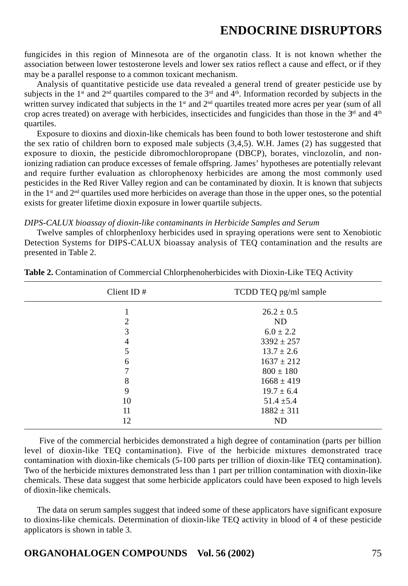fungicides in this region of Minnesota are of the organotin class. It is not known whether the association between lower testosterone levels and lower sex ratios reflect a cause and effect, or if they may be a parallel response to a common toxicant mechanism.

Analysis of quantitative pesticide use data revealed a general trend of greater pesticide use by subjects in the 1<sup>st</sup> and 2<sup>nd</sup> quartiles compared to the  $3<sup>rd</sup>$  and  $4<sup>th</sup>$ . Information recorded by subjects in the written survey indicated that subjects in the  $1<sup>st</sup>$  and  $2<sup>nd</sup>$  quartiles treated more acres per year (sum of all crop acres treated) on average with herbicides, insecticides and fungicides than those in the  $3<sup>rd</sup>$  and  $4<sup>th</sup>$ quartiles.

Exposure to dioxins and dioxin-like chemicals has been found to both lower testosterone and shift the sex ratio of children born to exposed male subjects (3,4,5). W.H. James (2) has suggested that exposure to dioxin, the pesticide dibromochloropropane (DBCP), borates, vinclozolin, and nonionizing radiation can produce excesses of female offspring. James' hypotheses are potentially relevant and require further evaluation as chlorophenoxy herbicides are among the most commonly used pesticides in the Red River Valley region and can be contaminated by dioxin. It is known that subjects in the  $1<sup>st</sup>$  and  $2<sup>nd</sup>$  quartiles used more herbicides on average than those in the upper ones, so the potential exists for greater lifetime dioxin exposure in lower quartile subjects.

#### *DIPS-CALUX bioassay of dioxin-like contaminants in Herbicide Samples and Serum*

Twelve samples of chlorphenloxy herbicides used in spraying operations were sent to Xenobiotic Detection Systems for DIPS-CALUX bioassay analysis of TEQ contamination and the results are presented in Table 2.

| Client ID $#$ | TCDD TEQ pg/ml sample |  |  |
|---------------|-----------------------|--|--|
|               | $26.2 \pm 0.5$        |  |  |
| 2             | <b>ND</b>             |  |  |
| 3             | $6.0 \pm 2.2$         |  |  |
| 4             | $3392 \pm 257$        |  |  |
| 5             | $13.7 \pm 2.6$        |  |  |
| 6             | $1637 \pm 212$        |  |  |
|               | $800 \pm 180$         |  |  |
| 8             | $1668 \pm 419$        |  |  |
| 9             | $19.7 \pm 6.4$        |  |  |
| 10            | $51.4 \pm 5.4$        |  |  |
| 11            | $1882 \pm 311$        |  |  |
| 12            | ND                    |  |  |

**Table 2.** Contamination of Commercial Chlorphenoherbicides with Dioxin-Like TEQ Activity

 Five of the commercial herbicides demonstrated a high degree of contamination (parts per billion level of dioxin-like TEQ contamination). Five of the herbicide mixtures demonstrated trace contamination with dioxin-like chemicals (5-100 parts per trillion of dioxin-like TEQ contamination). Two of the herbicide mixtures demonstrated less than 1 part per trillion contamination with dioxin-like chemicals. These data suggest that some herbicide applicators could have been exposed to high levels of dioxin-like chemicals.

The data on serum samples suggest that indeed some of these applicators have significant exposure to dioxins-like chemicals. Determination of dioxin-like TEQ activity in blood of 4 of these pesticide applicators is shown in table 3.